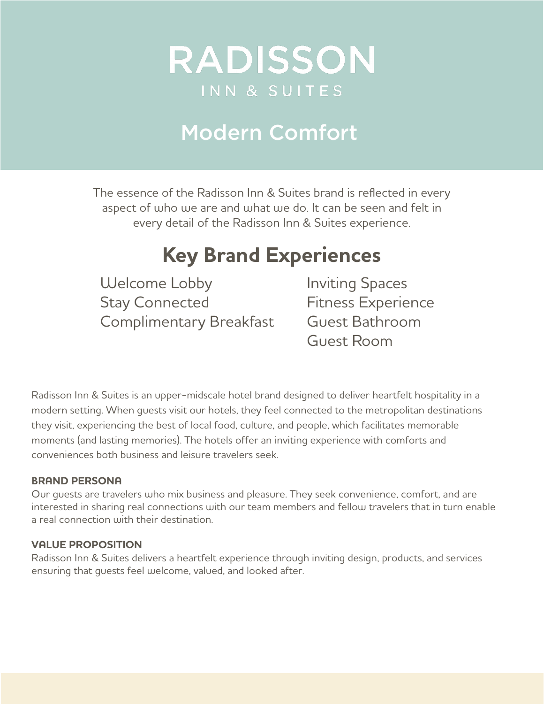# **RADISSON** INN & SUITES

## Modern Comfort

The essence of the Radisson Inn & Suites brand is reflected in every aspect of who we are and what we do. It can be seen and felt in every detail of the Radisson Inn & Suites experience.

### **Key Brand Experiences**

Welcome Lobby Stay Connected Complimentary Breakfast Inviting Spaces Fitness Experience Guest Bathroom Guest Room

Radisson Inn & Suites is an upper-midscale hotel brand designed to deliver heartfelt hospitality in a modern setting. When guests visit our hotels, they feel connected to the metropolitan destinations they visit, experiencing the best of local food, culture, and people, which facilitates memorable moments (and lasting memories). The hotels offer an inviting experience with comforts and conveniences both business and leisure travelers seek.

#### **BRAND PERSONA**

Our guests are travelers who mix business and pleasure. They seek convenience, comfort, and are interested in sharing real connections with our team members and fellow travelers that in turn enable a real connection with their destination.

#### **VALUE PROPOSITION**

Radisson Inn & Suites delivers a heartfelt experience through inviting design, products, and services ensuring that guests feel welcome, valued, and looked after.